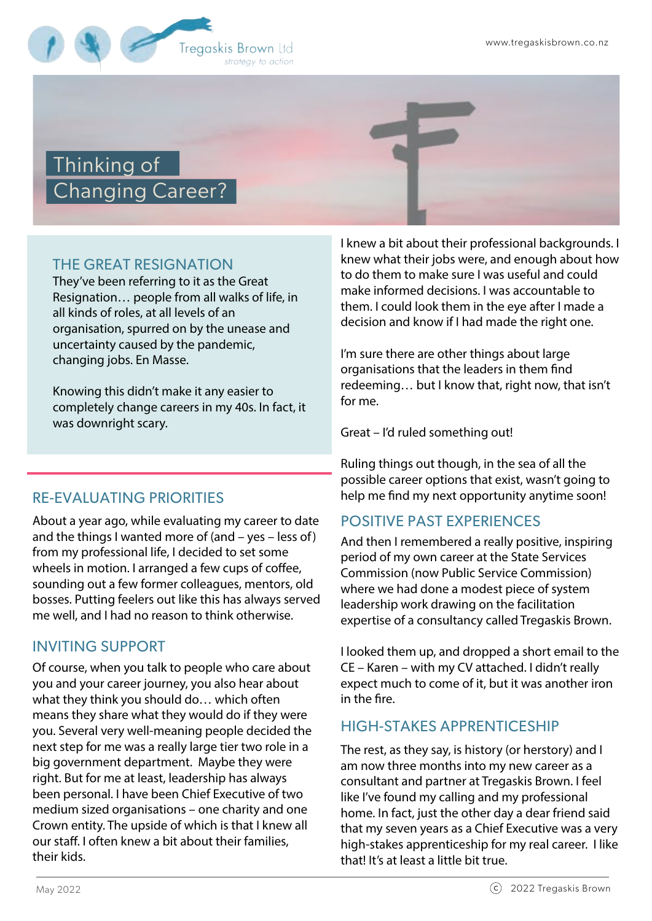

# Thinking of Changing Career?

## THE GREAT RESIGNATION

They've been referring to it as the Great Resignation… people from all walks of life, in all kinds of roles, at all levels of an organisation, spurred on by the unease and uncertainty caused by the pandemic, changing jobs. En Masse.

Knowing this didn't make it any easier to completely change careers in my 40s. In fact, it was downright scary.

## RE-EVALUATING PRIORITIES

About a year ago, while evaluating my career to date and the things I wanted more of (and – yes – less of) from my professional life, I decided to set some wheels in motion. I arranged a few cups of coffee, sounding out a few former colleagues, mentors, old bosses. Putting feelers out like this has always served me well, and I had no reason to think otherwise.

## INVITING SUPPORT

Of course, when you talk to people who care about you and your career journey, you also hear about what they think you should do… which often means they share what they would do if they were you. Several very well-meaning people decided the next step for me was a really large tier two role in a big government department. Maybe they were right. But for me at least, leadership has always been personal. I have been Chief Executive of two medium sized organisations – one charity and one Crown entity. The upside of which is that I knew all our staff. I often knew a bit about their families, their kids.

I knew a bit about their professional backgrounds. I knew what their jobs were, and enough about how to do them to make sure I was useful and could make informed decisions. I was accountable to them. I could look them in the eye after I made a decision and know if I had made the right one.

I'm sure there are other things about large organisations that the leaders in them find redeeming… but I know that, right now, that isn't for me.

Great – I'd ruled something out!

Ruling things out though, in the sea of all the possible career options that exist, wasn't going to help me find my next opportunity anytime soon!

## POSITIVE PAST EXPERIENCES

And then I remembered a really positive, inspiring period of my own career at the State Services Commission (now Public Service Commission) where we had done a modest piece of system leadership work drawing on the facilitation expertise of a consultancy called Tregaskis Brown.

I looked them up, and dropped a short email to the CE – Karen – with my CV attached. I didn't really expect much to come of it, but it was another iron in the fire.

#### HIGH-STAKES APPRENTICESHIP

The rest, as they say, is history (or herstory) and I am now three months into my new career as a consultant and partner at Tregaskis Brown. I feel like I've found my calling and my professional home. In fact, just the other day a dear friend said that my seven years as a Chief Executive was a very high-stakes apprenticeship for my real career. I like that! It's at least a little bit true.